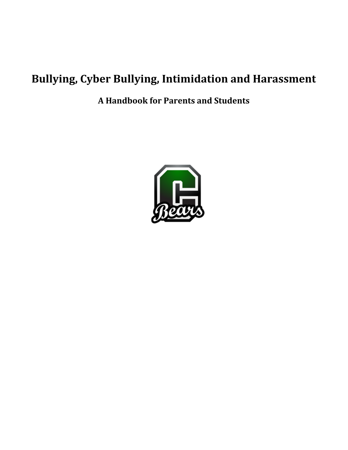# **Bullying, Cyber Bullying, Intimidation and Harassment**

**A Handbook for Parents and Students**

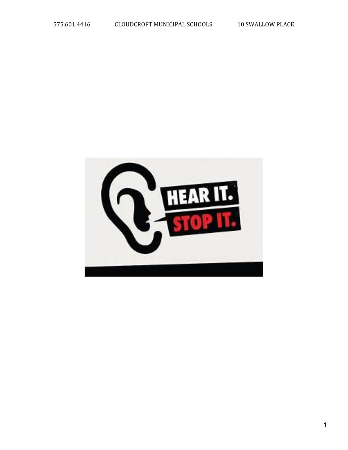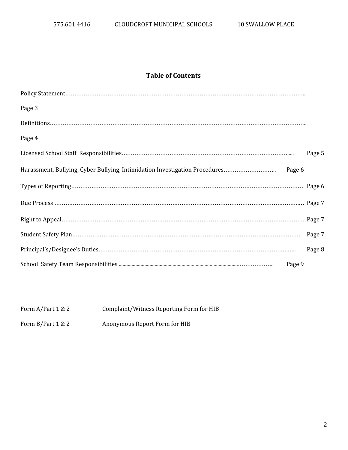# **Table of Contents**

| Page 3 |        |
|--------|--------|
|        |        |
| Page 4 |        |
|        | Page 5 |
|        |        |
|        |        |
|        |        |
|        |        |
|        |        |
|        | Page 8 |
|        |        |

## Form A/Part 1 & 2 Complaint/Witness Reporting Form for HIB

Form B/Part 1 & 2 Anonymous Report Form for HIB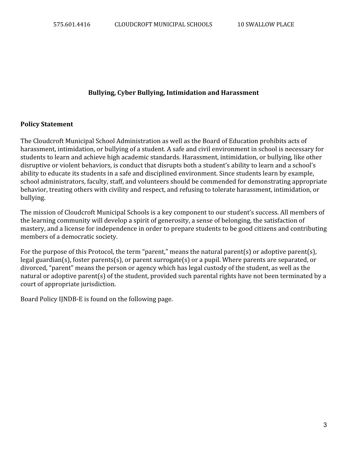## **Bullying, Cyber Bullying, Intimidation and Harassment**

#### **Policy Statement**

The Cloudcroft Municipal School Administration as well as the Board of Education prohibits acts of harassment, intimidation, or bullying of a student. A safe and civil environment in school is necessary for students to learn and achieve high academic standards. Harassment, intimidation, or bullying, like other disruptive or violent behaviors, is conduct that disrupts both a student's ability to learn and a school's ability to educate its students in a safe and disciplined environment. Since students learn by example, school administrators, faculty, staff, and volunteers should be commended for demonstrating appropriate behavior, treating others with civility and respect, and refusing to tolerate harassment, intimidation, or bullying.

The mission of Cloudcroft Municipal Schools is a key component to our student's success. All members of the learning community will develop a spirit of generosity, a sense of belonging, the satisfaction of mastery, and a license for independence in order to prepare students to be good citizens and contributing members of a democratic society.

For the purpose of this Protocol, the term "parent," means the natural parent(s) or adoptive parent(s), legal guardian(s), foster parents(s), or parent surrogate(s) or a pupil. Where parents are separated, or divorced, "parent" means the person or agency which has legal custody of the student, as well as the natural or adoptive parent(s) of the student, provided such parental rights have not been terminated by a court of appropriate jurisdiction.

Board Policy IJNDB-E is found on the following page.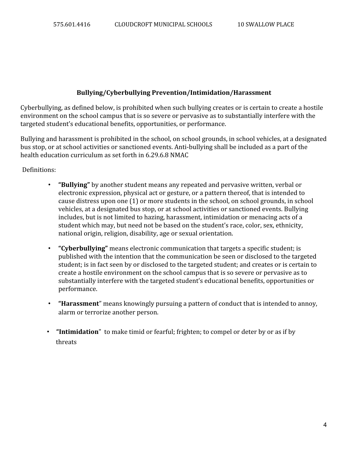## **Bullying/Cyberbullying Prevention/Intimidation/Harassment**

Cyberbullying, as defined below, is prohibited when such bullying creates or is certain to create a hostile environment on the school campus that is so severe or pervasive as to substantially interfere with the targeted student's educational benefits, opportunities, or performance.

Bullying and harassment is prohibited in the school, on school grounds, in school vehicles, at a designated bus stop, or at school activities or sanctioned events. Anti-bullying shall be included as a part of the health education curriculum as set forth in 6.29.6.8 NMAC

Definitions:

- **"Bullying"** by another student means any repeated and pervasive written, verbal or electronic expression, physical act or gesture, or a pattern thereof, that is intended to cause distress upon one (1) or more students in the school, on school grounds, in school vehicles, at a designated bus stop, or at school activities or sanctioned events. Bullying includes, but is not limited to hazing, harassment, intimidation or menacing acts of a student which may, but need not be based on the student's race, color, sex, ethnicity, national origin, religion, disability, age or sexual orientation.
- **"Cyberbullying"** means electronic communication that targets a specific student; is published with the intention that the communication be seen or disclosed to the targeted student; is in fact seen by or disclosed to the targeted student; and creates or is certain to create a hostile environment on the school campus that is so severe or pervasive as to substantially interfere with the targeted student's educational benefits, opportunities or performance.
- **"Harassment**" means knowingly pursuing a pattern of conduct that is intended to annoy, alarm or terrorize another person.
- **"Intimidation**" to make timid or fearful; frighten; to compel or deter by or as if by threats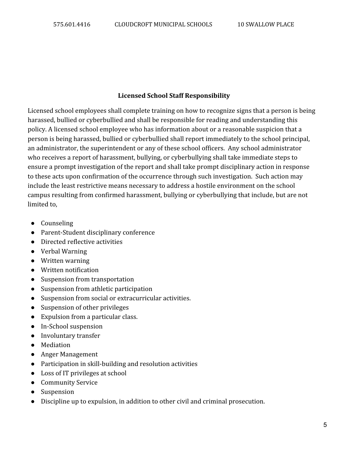## **Licensed School Staff Responsibility**

Licensed school employees shall complete training on how to recognize signs that a person is being harassed, bullied or cyberbullied and shall be responsible for reading and understanding this policy. A licensed school employee who has information about or a reasonable suspicion that a person is being harassed, bullied or cyberbullied shall report immediately to the school principal, an administrator, the superintendent or any of these school officers. Any school administrator who receives a report of harassment, bullying, or cyberbullying shall take immediate steps to ensure a prompt investigation of the report and shall take prompt disciplinary action in response to these acts upon confirmation of the occurrence through such investigation. Such action may include the least restrictive means necessary to address a hostile environment on the school campus resulting from confirmed harassment, bullying or cyberbullying that include, but are not limited to,

- Counseling
- Parent-Student disciplinary conference
- Directed reflective activities
- Verbal Warning
- Written warning
- Written notification
- Suspension from transportation
- Suspension from athletic participation
- Suspension from social or extracurricular activities.
- Suspension of other privileges
- Expulsion from a particular class.
- In-School suspension
- Involuntary transfer
- Mediation
- Anger Management
- Participation in skill-building and resolution activities
- Loss of IT privileges at school
- Community Service
- Suspension
- Discipline up to expulsion, in addition to other civil and criminal prosecution.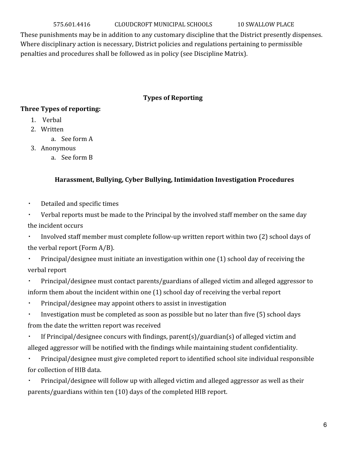575.601.4416 CLOUDCROFT MUNICIPAL SCHOOLS 10 SWALLOW PLACE

These punishments may be in addition to any customary discipline that the District presently dispenses. Where disciplinary action is necessary, District policies and regulations pertaining to permissible penalties and procedures shall be followed as in policy (see Discipline Matrix).

# **Types of Reporting**

# **Three Types of reporting:**

- 1. Verbal
- 2. Written
	- a. See form A
- 3. Anonymous
	- a. See form B

# **Harassment, Bullying, Cyber Bullying, Intimidation Investigation Procedures**

- Detailed and specific times
- Verbal reports must be made to the Principal by the involved staff member on the same day the incident occurs

▪ Involved staff member must complete follow-up written report within two (2) school days of the verbal report (Form A/B).

▪ Principal/designee must initiate an investigation within one (1) school day of receiving the verbal report

- Principal/designee must contact parents/guardians of alleged victim and alleged aggressor to inform them about the incident within one (1) school day of receiving the verbal report
- Principal/designee may appoint others to assist in investigation

▪ Investigation must be completed as soon as possible but no later than five (5) school days from the date the written report was received

▪ If Principal/designee concurs with findings, parent(s)/guardian(s) of alleged victim and alleged aggressor will be notified with the findings while maintaining student confidentiality.

▪ Principal/designee must give completed report to identified school site individual responsible for collection of HIB data.

Principal/designee will follow up with alleged victim and alleged aggressor as well as their parents/guardians within ten (10) days of the completed HIB report.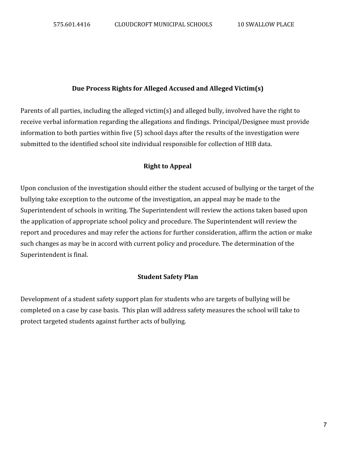## **Due Process Rights for Alleged Accused and Alleged Victim(s)**

Parents of all parties, including the alleged victim(s) and alleged bully, involved have the right to receive verbal information regarding the allegations and findings. Principal/Designee must provide information to both parties within five (5) school days after the results of the investigation were submitted to the identified school site individual responsible for collection of HIB data.

## **Right to Appeal**

Upon conclusion of the investigation should either the student accused of bullying or the target of the bullying take exception to the outcome of the investigation, an appeal may be made to the Superintendent of schools in writing. The Superintendent will review the actions taken based upon the application of appropriate school policy and procedure. The Superintendent will review the report and procedures and may refer the actions for further consideration, affirm the action or make such changes as may be in accord with current policy and procedure. The determination of the Superintendent is final.

#### **Student Safety Plan**

Development of a student safety support plan for students who are targets of bullying will be completed on a case by case basis. This plan will address safety measures the school will take to protect targeted students against further acts of bullying.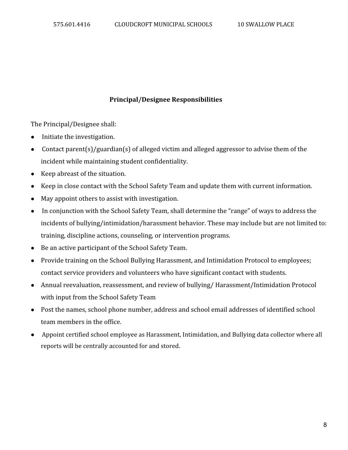## **Principal/Designee Responsibilities**

The Principal/Designee shall:

- Initiate the investigation.
- Contact parent(s)/guardian(s) of alleged victim and alleged aggressor to advise them of the incident while maintaining student confidentiality.
- Keep abreast of the situation.
- Keep in close contact with the School Safety Team and update them with current information.
- May appoint others to assist with investigation.
- In conjunction with the School Safety Team, shall determine the "range" of ways to address the incidents of bullying/intimidation/harassment behavior. These may include but are not limited to: training, discipline actions, counseling, or intervention programs.
- Be an active participant of the School Safety Team.
- Provide training on the School Bullying Harassment, and Intimidation Protocol to employees; contact service providers and volunteers who have significant contact with students.
- Annual reevaluation, reassessment, and review of bullying/ Harassment/Intimidation Protocol with input from the School Safety Team
- Post the names, school phone number, address and school email addresses of identified school team members in the office.
- Appoint certified school employee as Harassment, Intimidation, and Bullying data collector where all reports will be centrally accounted for and stored.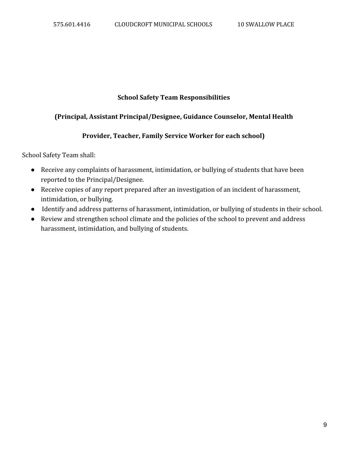## **School Safety Team Responsibilities**

# **(Principal, Assistant Principal/Designee, Guidance Counselor, Mental Health**

# **Provider, Teacher, Family Service Worker for each school)**

School Safety Team shall:

- Receive any complaints of harassment, intimidation, or bullying of students that have been reported to the Principal/Designee.
- Receive copies of any report prepared after an investigation of an incident of harassment, intimidation, or bullying.
- Identify and address patterns of harassment, intimidation, or bullying of students in their school.
- Review and strengthen school climate and the policies of the school to prevent and address harassment, intimidation, and bullying of students.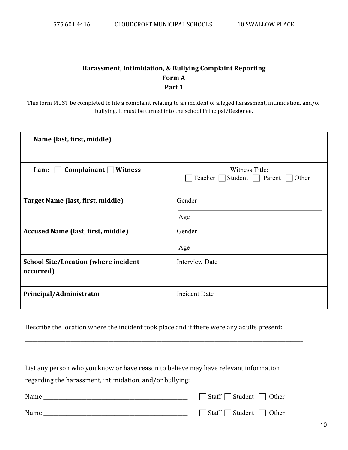# **Harassment, Intimidation, & Bullying Complaint Reporting Form A Part 1**

This form MUST be completed to file a complaint relating to an incident of alleged harassment, intimidation, and/or bullying. It must be turned into the school Principal/Designee.

| Name (last, first, middle)                               |                                                            |
|----------------------------------------------------------|------------------------------------------------------------|
| Complainant<br><b>Witness</b><br>I am:                   | Witness Title:<br>Teacher  <br>Student   Parent  <br>Other |
| Target Name (last, first, middle)                        | Gender                                                     |
|                                                          | Age                                                        |
| <b>Accused Name (last, first, middle)</b>                | Gender                                                     |
|                                                          | Age                                                        |
| <b>School Site/Location (where incident</b><br>occurred) | <b>Interview Date</b>                                      |
| Principal/Administrator                                  | <b>Incident Date</b>                                       |

Describe the location where the incident took place and if there were any adults present:

\_\_\_\_\_\_\_\_\_\_\_\_\_\_\_\_\_\_\_\_\_\_\_\_\_\_\_\_\_\_\_\_\_\_\_\_\_\_\_\_\_\_\_\_\_\_\_\_\_\_\_\_\_\_\_\_\_\_\_\_\_\_\_\_\_\_\_\_\_\_\_\_\_\_\_\_\_\_\_\_\_\_\_\_\_\_\_\_\_\_\_\_\_\_\_\_\_\_\_\_\_\_\_\_\_\_\_\_\_\_

\_\_\_\_\_\_\_\_\_\_\_\_\_\_\_\_\_\_\_\_\_\_\_\_\_\_\_\_\_\_\_\_\_\_\_\_\_\_\_\_\_\_\_\_\_\_\_\_\_\_\_\_\_\_\_\_\_\_\_\_\_\_\_\_\_\_\_\_\_\_\_\_\_\_\_\_\_\_\_\_\_\_\_\_\_\_\_\_\_\_\_\_\_\_\_\_\_\_\_\_\_\_\_\_\_\_\_\_

| List any person who you know or have reason to believe may have relevant information |                                             |
|--------------------------------------------------------------------------------------|---------------------------------------------|
| regarding the harassment, intimidation, and/or bullying:                             |                                             |
|                                                                                      | $\vert$ Staff $\vert$ Student $\vert$ Other |
| Name                                                                                 | $\exists$ Staff $\Box$ Student $\Box$ Other |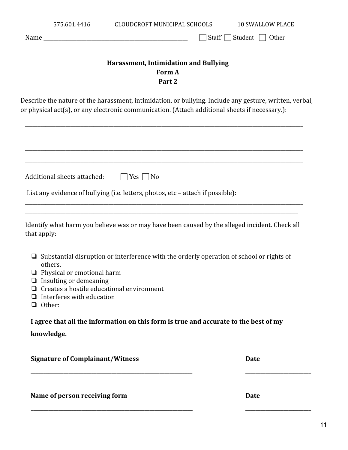|                                                                                                                                                                                                                                                                   | Staff $\Box$ Student  <br>Other                                                                         |
|-------------------------------------------------------------------------------------------------------------------------------------------------------------------------------------------------------------------------------------------------------------------|---------------------------------------------------------------------------------------------------------|
|                                                                                                                                                                                                                                                                   | Harassment, Intimidation and Bullying<br>Form A<br>Part 2                                               |
| or physical act(s), or any electronic communication. (Attach additional sheets if necessary.):                                                                                                                                                                    | Describe the nature of the harassment, intimidation, or bullying. Include any gesture, written, verbal, |
|                                                                                                                                                                                                                                                                   |                                                                                                         |
| Additional sheets attached:<br>$\Box$ Yes $\Box$ No                                                                                                                                                                                                               |                                                                                                         |
| List any evidence of bullying (i.e. letters, photos, etc - attach if possible):                                                                                                                                                                                   |                                                                                                         |
| Identify what harm you believe was or may have been caused by the alleged incident. Check all<br>that apply:                                                                                                                                                      |                                                                                                         |
| Substantial disruption or interference with the orderly operation of school or rights of<br>⊔<br>others.<br>Physical or emotional harm<br>$\Box$ Insulting or demeaning<br>Creates a hostile educational environment<br>Interferes with education<br>Other:<br>u. |                                                                                                         |
| I agree that all the information on this form is true and accurate to the best of my                                                                                                                                                                              |                                                                                                         |
| knowledge.                                                                                                                                                                                                                                                        |                                                                                                         |
|                                                                                                                                                                                                                                                                   |                                                                                                         |

**\_\_\_\_\_\_\_\_\_\_\_\_\_\_\_\_\_\_\_\_\_\_\_\_\_\_\_\_\_\_\_\_\_\_\_\_\_\_\_\_\_\_\_\_\_\_\_\_\_\_\_\_\_\_\_\_\_\_\_\_\_\_\_\_ \_\_\_\_\_\_\_\_\_\_\_\_\_\_\_\_\_\_\_\_\_\_\_\_\_\_**

575.601.4416 CLOUDCROFT MUNICIPAL SCHOOLS 10 SWALLOW PLACE

**Name of person receiving form Date**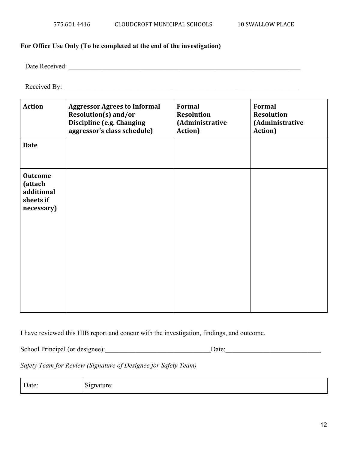## **For Office Use Only (To be completed at the end of the investigation)**

Date Received:

Received By: \_\_\_\_\_\_\_\_\_\_\_\_\_\_\_\_\_\_\_\_\_\_\_\_\_\_\_\_\_\_\_\_\_\_\_\_\_\_\_\_\_\_\_\_\_\_\_\_\_\_\_\_\_\_\_\_\_\_\_\_\_\_\_\_\_\_\_\_\_

| <b>Action</b>                                                      | <b>Aggressor Agrees to Informal</b><br>Resolution(s) and/or<br>Discipline (e.g. Changing<br>aggressor's class schedule) | Formal<br><b>Resolution</b><br>(Administrative<br>Action) | Formal<br><b>Resolution</b><br>(Administrative<br>Action) |
|--------------------------------------------------------------------|-------------------------------------------------------------------------------------------------------------------------|-----------------------------------------------------------|-----------------------------------------------------------|
| <b>Date</b>                                                        |                                                                                                                         |                                                           |                                                           |
| <b>Outcome</b><br>(attach<br>additional<br>sheets if<br>necessary) |                                                                                                                         |                                                           |                                                           |

I have reviewed this HIB report and concur with the investigation, findings, and outcome.

School Principal (or designee):\_\_\_\_\_\_\_\_\_\_\_\_\_\_\_\_\_\_\_\_\_\_\_\_\_\_\_\_\_\_\_Date:\_\_\_\_\_\_\_\_\_\_\_\_\_\_\_\_\_\_\_\_\_\_\_\_\_\_\_\_

*Safety Team for Review (Signature of Designee for Safety Team)*

Date: Signature: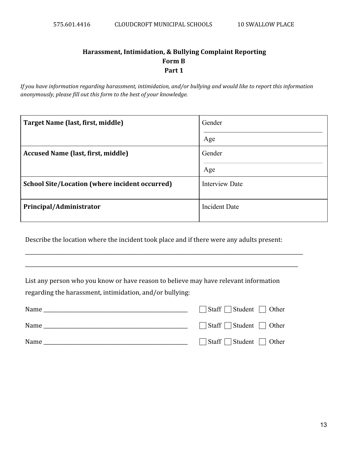# **Harassment, Intimidation, & Bullying Complaint Reporting Form B Part 1**

*If you have information regarding harassment, intimidation, and/or bullying and would like to report this information anonymously, please fill out this form to the best of your knowledge.*

| Target Name (last, first, middle)                     | Gender                |
|-------------------------------------------------------|-----------------------|
|                                                       | Age                   |
| <b>Accused Name (last, first, middle)</b>             | Gender                |
|                                                       | Age                   |
| <b>School Site/Location (where incident occurred)</b> | <b>Interview Date</b> |
| Principal/Administrator                               | <b>Incident Date</b>  |

Describe the location where the incident took place and if there were any adults present:

\_\_\_\_\_\_\_\_\_\_\_\_\_\_\_\_\_\_\_\_\_\_\_\_\_\_\_\_\_\_\_\_\_\_\_\_\_\_\_\_\_\_\_\_\_\_\_\_\_\_\_\_\_\_\_\_\_\_\_\_\_\_\_\_\_\_\_\_\_\_\_\_\_\_\_\_\_\_\_\_\_\_\_\_\_\_\_\_\_\_\_\_\_\_\_\_\_\_\_\_\_\_\_\_\_\_\_\_\_\_

\_\_\_\_\_\_\_\_\_\_\_\_\_\_\_\_\_\_\_\_\_\_\_\_\_\_\_\_\_\_\_\_\_\_\_\_\_\_\_\_\_\_\_\_\_\_\_\_\_\_\_\_\_\_\_\_\_\_\_\_\_\_\_\_\_\_\_\_\_\_\_\_\_\_\_\_\_\_\_\_\_\_\_\_\_\_\_\_\_\_\_\_\_\_\_\_\_\_\_\_\_\_\_\_\_\_\_\_

List any person who you know or have reason to believe may have relevant information regarding the harassment, intimidation, and/or bullying:

| Name | $\Box$ Staff $\Box$ Student $\Box$ Other |
|------|------------------------------------------|
| Name | $\Box$ Staff $\Box$ Student $\Box$ Other |
| Name | $\Box$ Staff $\Box$ Student $\Box$ Other |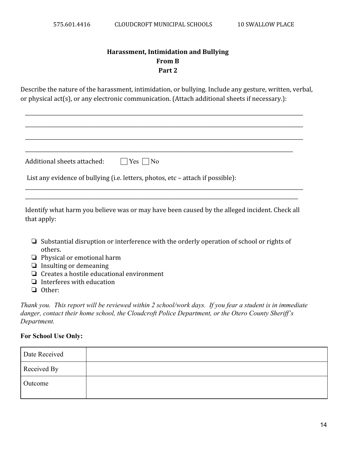# **Harassment, Intimidation and Bullying From B Part 2**

Describe the nature of the harassment, intimidation, or bullying. Include any gesture, written, verbal, or physical act(s), or any electronic communication. (Attach additional sheets if necessary.):

| Additional sheets attached: $\Box$ Yes $\Box$ No |                                                                                 |
|--------------------------------------------------|---------------------------------------------------------------------------------|
|                                                  | List any evidence of bullying (i.e. letters, photos, etc - attach if possible): |

Identify what harm you believe was or may have been caused by the alleged incident. Check all that apply:

\_\_\_\_\_\_\_\_\_\_\_\_\_\_\_\_\_\_\_\_\_\_\_\_\_\_\_\_\_\_\_\_\_\_\_\_\_\_\_\_\_\_\_\_\_\_\_\_\_\_\_\_\_\_\_\_\_\_\_\_\_\_\_\_\_\_\_\_\_\_\_\_\_\_\_\_\_\_\_\_\_\_\_\_\_\_\_\_\_\_\_\_\_\_\_\_\_\_\_\_\_\_\_\_\_\_\_\_

- ❏ Substantial disruption or interference with the orderly operation of school or rights of others.
- ❏ Physical or emotional harm
- ❏ Insulting or demeaning
- ❏ Creates a hostile educational environment
- ❏ Interferes with education
- ❏ Other:

*Thank you. This report will be reviewed within 2 school/work days. If you fear a student is in immediate danger, contact their home school, the Cloudcroft Police Department, or the Otero County Sheriff's Department.*

#### **For School Use Only:**

| Date Received |  |
|---------------|--|
| Received By   |  |
| Outcome       |  |